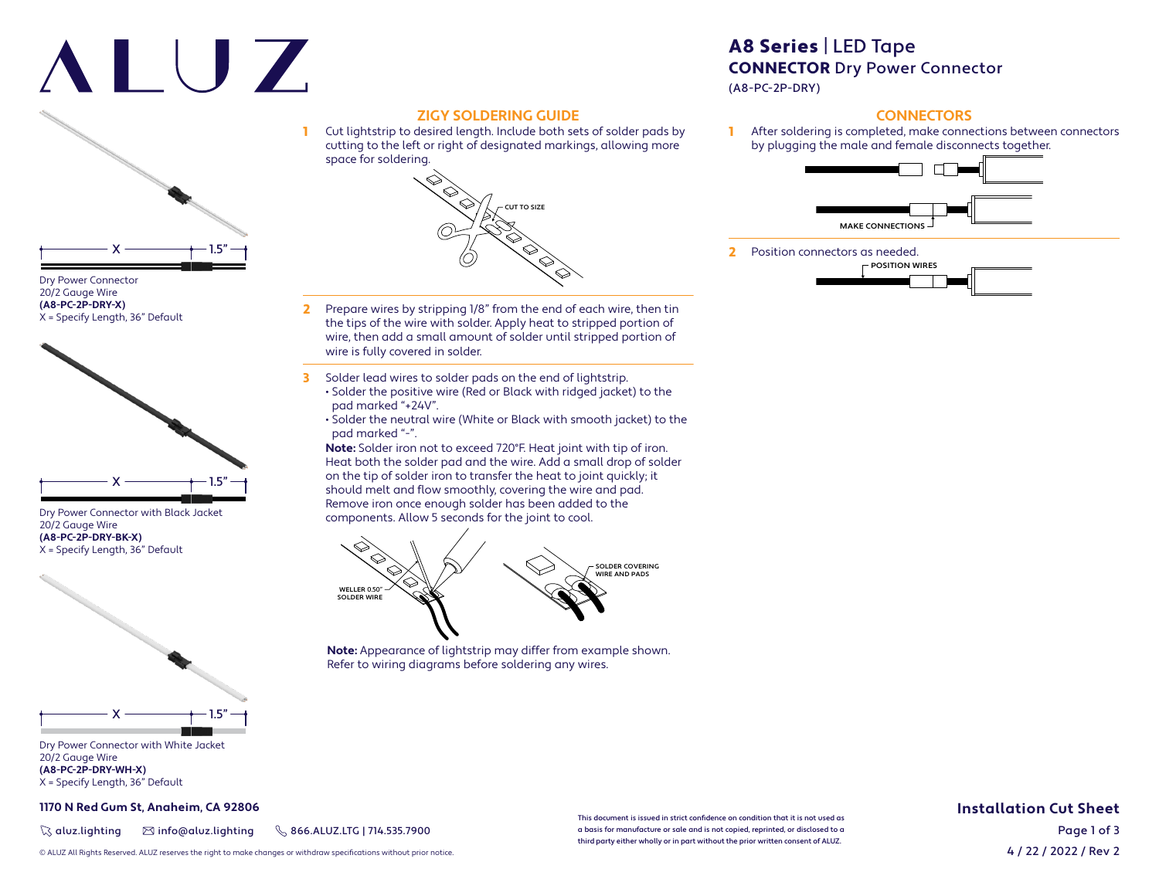# ALUZ



#### Dry Power Connector 20/2 Gauge Wire **(A8-PC-2P-DRY-X)** X = Specify Length, 36" Default



Dry Power Connector with Black Jacket 20/2 Gauge Wire **(A8-PC-2P-DRY-BK-X)** X = Specify Length, 36" Default



Dry Power Connector with White Jacket 20/2 Gauge Wire **(A8-PC-2P-DRY-WH-X)** X = Specify Length, 36" Default

#### **1170 N Red Gum St, Anaheim, CA 92806**

 $\%$  aluz.lighting  $\%$  info@aluz.lighting  $\%$  866.ALUZ.LTG | 714.535.7900

# A8 Series | LED Tape CONNECTOR Dry Power Connector

(A8-PC-2P-DRY)

### **CONNECTORS**

After soldering is completed, make connections between connectors by plugging the male and female disconnects together.



2 Position connectors as needed.



2 Prepare wires by stripping 1/8" from the end of each wire, then tin the tips of the wire with solder. Apply heat to stripped portion of wire, then add a small amount of solder until stripped portion of wire is fully covered in solder.

**ZIGY SOLDERING GUIDE**

space for soldering.

1 Cut lightstrip to desired length. Include both sets of solder pads by cutting to the left or right of designated markings, allowing more

 $-$  CUT TO SIZE

- 3 Solder lead wires to solder pads on the end of lightstrip. • Solder the positive wire (Red or Black with ridged jacket) to the pad marked "+24V".
	- Solder the neutral wire (White or Black with smooth jacket) to the pad marked "-".

**Note:** Solder iron not to exceed 720°F. Heat joint with tip of iron. Heat both the solder pad and the wire. Add a small drop of solder on the tip of solder iron to transfer the heat to joint quickly; it should melt and flow smoothly, covering the wire and pad. Remove iron once enough solder has been added to the components. Allow 5 seconds for the joint to cool.



**Note:** Appearance of lightstrip may differ from example shown. Refer to wiring diagrams before soldering any wires.

**Installation Cut Sheet**

This document is issued in strict confidence on condition that it is not used as a basis for manufacture or sale and is not copied, reprinted, or disclosed to a third party either wholly or in part without the prior written consent of ALUZ.

4 / 22 / 2022 / Rev 2 Page 1 of 3

© ALUZ All Rights Reserved. ALUZ reserves the right to make changes or withdraw specifi cations without prior notice.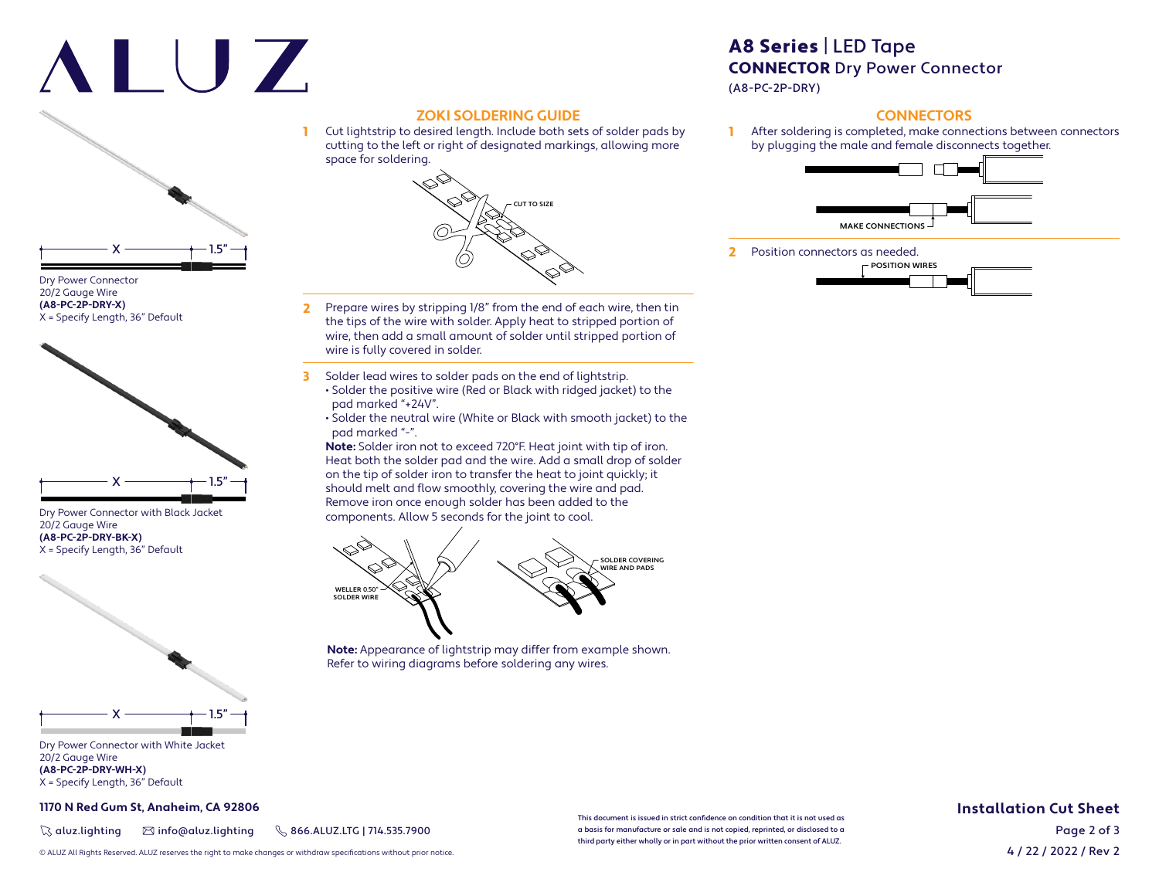# ALUZ



#### Dry Power Connector 20/2 Gauge Wire **(A8-PC-2P-DRY-X)** X = Specify Length, 36" Default



Dry Power Connector with Black Jacket 20/2 Gauge Wire **(A8-PC-2P-DRY-BK-X)** X = Specify Length, 36" Default



Dry Power Connector with White Jacket 20/2 Gauge Wire **(A8-PC-2P-DRY-WH-X)** X = Specify Length, 36" Default

#### **1170 N Red Gum St, Anaheim, CA 92806**

 $\%$  aluz.lighting  $\%$  info@aluz.lighting  $\%$  866.ALUZ.LTG | 714.535.7900

## **ZOKI SOLDERING GUIDE** 1 Cut lightstrip to desired length. Include both sets of solder pads by cutting to the left or right of designated markings, allowing more space for soldering.



- 2 Prepare wires by stripping 1/8" from the end of each wire, then tin the tips of the wire with solder. Apply heat to stripped portion of wire, then add a small amount of solder until stripped portion of wire is fully covered in solder.
- 3 Solder lead wires to solder pads on the end of lightstrip. • Solder the positive wire (Red or Black with ridged jacket) to the pad marked "+24V".
	- Solder the neutral wire (White or Black with smooth jacket) to the pad marked "-".

**Note:** Solder iron not to exceed 720°F. Heat joint with tip of iron. Heat both the solder pad and the wire. Add a small drop of solder on the tip of solder iron to transfer the heat to joint quickly; it should melt and flow smoothly, covering the wire and pad. Remove iron once enough solder has been added to the components. Allow 5 seconds for the joint to cool.



**Note:** Appearance of lightstrip may differ from example shown. Refer to wiring diagrams before soldering any wires.

# A8 Series | LED Tape CONNECTOR Dry Power Connector

(A8-PC-2P-DRY)

### **CONNECTORS**

After soldering is completed, make connections between connectors by plugging the male and female disconnects together.



2 Position connectors as needed.



This document is issued in strict confidence on condition that it is not used as a basis for manufacture or sale and is not copied, reprinted, or disclosed to a third party either wholly or in part without the prior written consent of ALUZ.

### **Installation Cut Sheet**

4 / 22 / 2022 / Rev 2 Page 2 of 3

© ALUZ All Rights Reserved. ALUZ reserves the right to make changes or withdraw specifi cations without prior notice.